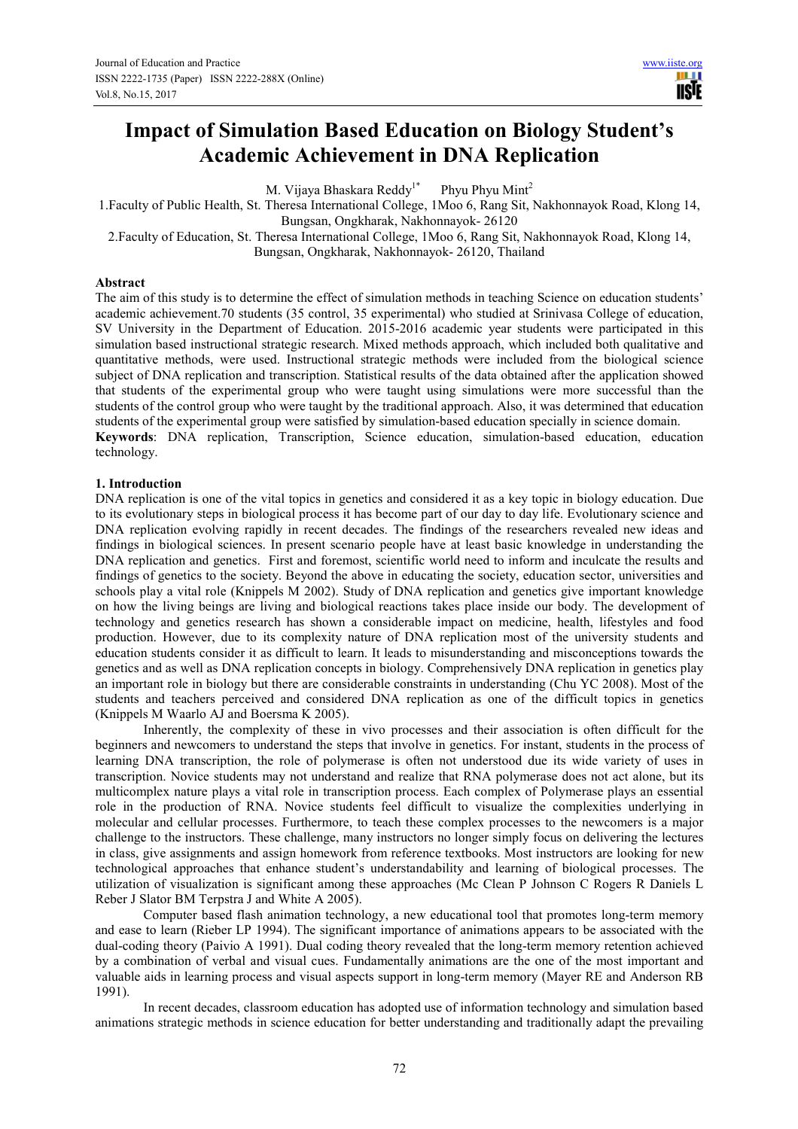# **Impact of Simulation Based Education on Biology Student's Academic Achievement in DNA Replication**

M. Vijaya Bhaskara Reddy<sup>1\*</sup> Phyu Phyu Mint<sup>2</sup>

1.Faculty of Public Health, St. Theresa International College, 1Moo 6, Rang Sit, Nakhonnayok Road, Klong 14, Bungsan, Ongkharak, Nakhonnayok- 26120

2.Faculty of Education, St. Theresa International College, 1Moo 6, Rang Sit, Nakhonnayok Road, Klong 14, Bungsan, Ongkharak, Nakhonnayok- 26120, Thailand

### **Abstract**

The aim of this study is to determine the effect of simulation methods in teaching Science on education students' academic achievement.70 students (35 control, 35 experimental) who studied at Srinivasa College of education, SV University in the Department of Education. 2015-2016 academic year students were participated in this simulation based instructional strategic research. Mixed methods approach, which included both qualitative and quantitative methods, were used. Instructional strategic methods were included from the biological science subject of DNA replication and transcription. Statistical results of the data obtained after the application showed that students of the experimental group who were taught using simulations were more successful than the students of the control group who were taught by the traditional approach. Also, it was determined that education students of the experimental group were satisfied by simulation-based education specially in science domain. **Keywords**: DNA replication, Transcription, Science education, simulation-based education, education technology.

## **1. Introduction**

DNA replication is one of the vital topics in genetics and considered it as a key topic in biology education. Due to its evolutionary steps in biological process it has become part of our day to day life. Evolutionary science and DNA replication evolving rapidly in recent decades. The findings of the researchers revealed new ideas and findings in biological sciences. In present scenario people have at least basic knowledge in understanding the DNA replication and genetics. First and foremost, scientific world need to inform and inculcate the results and findings of genetics to the society. Beyond the above in educating the society, education sector, universities and schools play a vital role (Knippels M 2002). Study of DNA replication and genetics give important knowledge on how the living beings are living and biological reactions takes place inside our body. The development of technology and genetics research has shown a considerable impact on medicine, health, lifestyles and food production. However, due to its complexity nature of DNA replication most of the university students and education students consider it as difficult to learn. It leads to misunderstanding and misconceptions towards the genetics and as well as DNA replication concepts in biology. Comprehensively DNA replication in genetics play an important role in biology but there are considerable constraints in understanding (Chu YC 2008). Most of the students and teachers perceived and considered DNA replication as one of the difficult topics in genetics (Knippels M Waarlo AJ and Boersma K 2005).

Inherently, the complexity of these in vivo processes and their association is often difficult for the beginners and newcomers to understand the steps that involve in genetics. For instant, students in the process of learning DNA transcription, the role of polymerase is often not understood due its wide variety of uses in transcription. Novice students may not understand and realize that RNA polymerase does not act alone, but its multicomplex nature plays a vital role in transcription process. Each complex of Polymerase plays an essential role in the production of RNA. Novice students feel difficult to visualize the complexities underlying in molecular and cellular processes. Furthermore, to teach these complex processes to the newcomers is a major challenge to the instructors. These challenge, many instructors no longer simply focus on delivering the lectures in class, give assignments and assign homework from reference textbooks. Most instructors are looking for new technological approaches that enhance student's understandability and learning of biological processes. The utilization of visualization is significant among these approaches (Mc Clean P Johnson C Rogers R Daniels L Reber J Slator BM Terpstra J and White A 2005).

Computer based flash animation technology, a new educational tool that promotes long-term memory and ease to learn (Rieber LP 1994). The significant importance of animations appears to be associated with the dual-coding theory (Paivio A 1991). Dual coding theory revealed that the long-term memory retention achieved by a combination of verbal and visual cues. Fundamentally animations are the one of the most important and valuable aids in learning process and visual aspects support in long-term memory (Mayer RE and Anderson RB 1991).

In recent decades, classroom education has adopted use of information technology and simulation based animations strategic methods in science education for better understanding and traditionally adapt the prevailing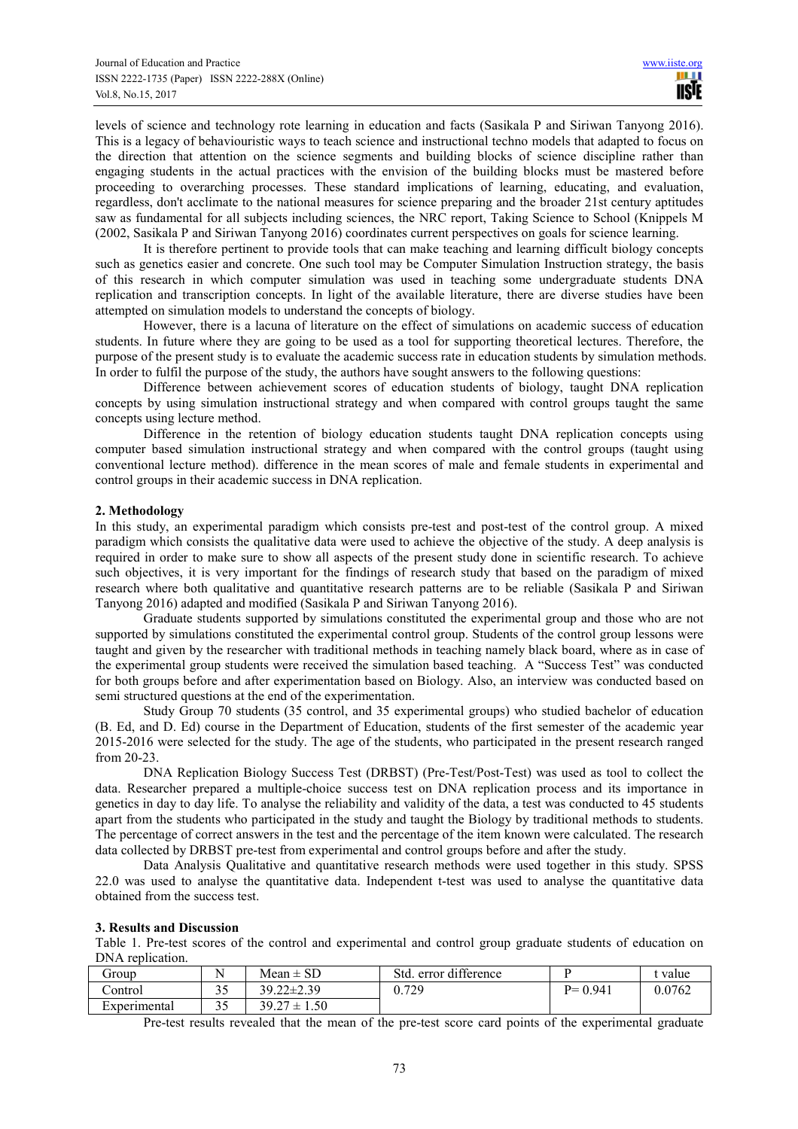levels of science and technology rote learning in education and facts (Sasikala P and Siriwan Tanyong 2016). This is a legacy of behaviouristic ways to teach science and instructional techno models that adapted to focus on the direction that attention on the science segments and building blocks of science discipline rather than engaging students in the actual practices with the envision of the building blocks must be mastered before proceeding to overarching processes. These standard implications of learning, educating, and evaluation, regardless, don't acclimate to the national measures for science preparing and the broader 21st century aptitudes saw as fundamental for all subjects including sciences, the NRC report, Taking Science to School (Knippels M (2002, Sasikala P and Siriwan Tanyong 2016) coordinates current perspectives on goals for science learning.

It is therefore pertinent to provide tools that can make teaching and learning difficult biology concepts such as genetics easier and concrete. One such tool may be Computer Simulation Instruction strategy, the basis of this research in which computer simulation was used in teaching some undergraduate students DNA replication and transcription concepts. In light of the available literature, there are diverse studies have been attempted on simulation models to understand the concepts of biology.

However, there is a lacuna of literature on the effect of simulations on academic success of education students. In future where they are going to be used as a tool for supporting theoretical lectures. Therefore, the purpose of the present study is to evaluate the academic success rate in education students by simulation methods. In order to fulfil the purpose of the study, the authors have sought answers to the following questions:

Difference between achievement scores of education students of biology, taught DNA replication concepts by using simulation instructional strategy and when compared with control groups taught the same concepts using lecture method.

Difference in the retention of biology education students taught DNA replication concepts using computer based simulation instructional strategy and when compared with the control groups (taught using conventional lecture method). difference in the mean scores of male and female students in experimental and control groups in their academic success in DNA replication.

#### **2. Methodology**

In this study, an experimental paradigm which consists pre-test and post-test of the control group. A mixed paradigm which consists the qualitative data were used to achieve the objective of the study. A deep analysis is required in order to make sure to show all aspects of the present study done in scientific research. To achieve such objectives, it is very important for the findings of research study that based on the paradigm of mixed research where both qualitative and quantitative research patterns are to be reliable (Sasikala P and Siriwan Tanyong 2016) adapted and modified (Sasikala P and Siriwan Tanyong 2016).

Graduate students supported by simulations constituted the experimental group and those who are not supported by simulations constituted the experimental control group. Students of the control group lessons were taught and given by the researcher with traditional methods in teaching namely black board, where as in case of the experimental group students were received the simulation based teaching. A "Success Test" was conducted for both groups before and after experimentation based on Biology. Also, an interview was conducted based on semi structured questions at the end of the experimentation.

Study Group 70 students (35 control, and 35 experimental groups) who studied bachelor of education (B. Ed, and D. Ed) course in the Department of Education, students of the first semester of the academic year 2015-2016 were selected for the study. The age of the students, who participated in the present research ranged from 20-23.

DNA Replication Biology Success Test (DRBST) (Pre-Test/Post-Test) was used as tool to collect the data. Researcher prepared a multiple-choice success test on DNA replication process and its importance in genetics in day to day life. To analyse the reliability and validity of the data, a test was conducted to 45 students apart from the students who participated in the study and taught the Biology by traditional methods to students. The percentage of correct answers in the test and the percentage of the item known were calculated. The research data collected by DRBST pre-test from experimental and control groups before and after the study.

Data Analysis Qualitative and quantitative research methods were used together in this study. SPSS 22.0 was used to analyse the quantitative data. Independent t-test was used to analyse the quantitative data obtained from the success test.

#### **3. Results and Discussion**

Table 1. Pre-test scores of the control and experimental and control group graduate students of education on DNA replication.

| froup        | N                     | $Mean \pm SD$             | error difference<br>Std. |             | value  |
|--------------|-----------------------|---------------------------|--------------------------|-------------|--------|
| .)ontrol     | $\sim$ $\sim$<br>ر. ر | $39.22 \pm 2.39$          | 0.729                    | $P = 0.941$ | 0.0762 |
| Experimental | ر. ر                  | $39.27 \pm 1$<br>$1.50-1$ |                          |             |        |

Pre-test results revealed that the mean of the pre-test score card points of the experimental graduate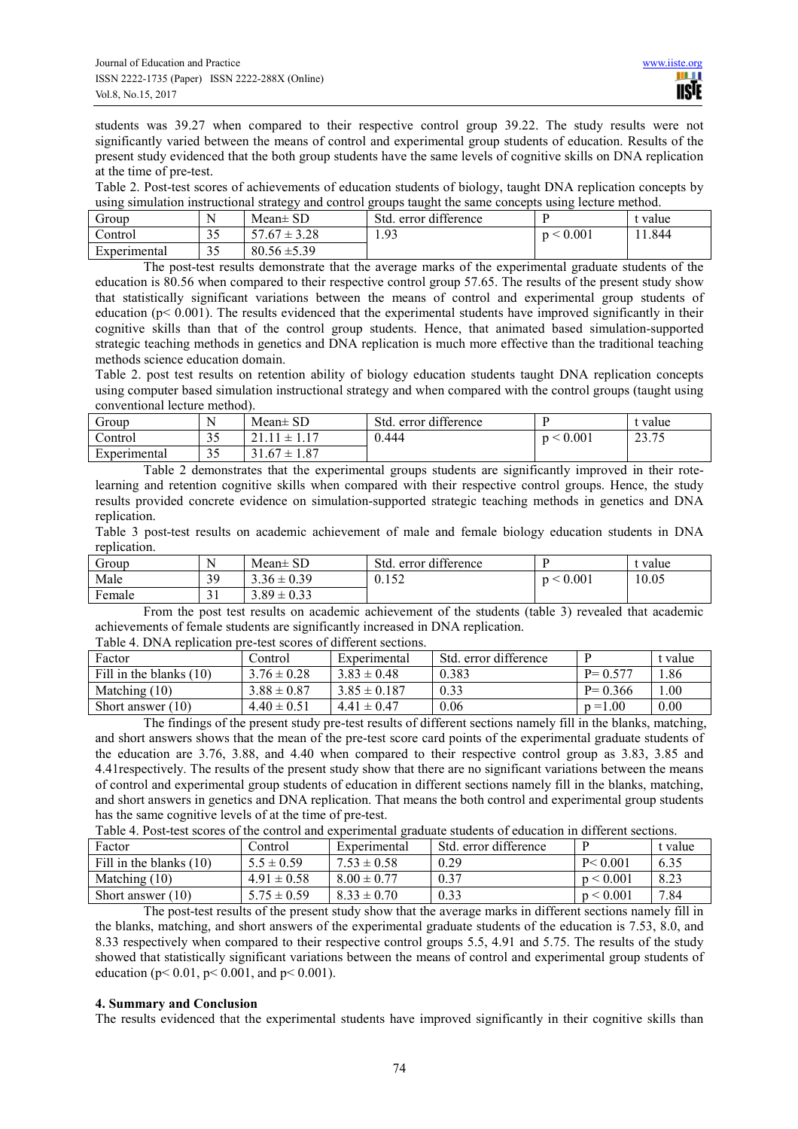students was 39.27 when compared to their respective control group 39.22. The study results were not significantly varied between the means of control and experimental group students of education. Results of the present study evidenced that the both group students have the same levels of cognitive skills on DNA replication at the time of pre-test.

Table 2. Post-test scores of achievements of education students of biology, taught DNA replication concepts by using simulation instructional strategy and control groups taught the same concepts using lecture method.

| droup        | . .                       | ັ<br>$Mean \pm SD$        | error difference<br>Std.          |       | t value |
|--------------|---------------------------|---------------------------|-----------------------------------|-------|---------|
| .)ontrol     | $\sim$ $\sim$<br><u>-</u> | $' \pm 3.28$<br>cп<br>.67 | 0 <sup>2</sup><br>1. <i>. J J</i> | 0.001 | .844    |
| Experimental | $\sim$ $\sim$<br>ب ب      | $80.56 \pm 5.39$          |                                   |       |         |

The post-test results demonstrate that the average marks of the experimental graduate students of the education is 80.56 when compared to their respective control group 57.65. The results of the present study show that statistically significant variations between the means of control and experimental group students of education ( $p < 0.001$ ). The results evidenced that the experimental students have improved significantly in their cognitive skills than that of the control group students. Hence, that animated based simulation-supported strategic teaching methods in genetics and DNA replication is much more effective than the traditional teaching methods science education domain.

Table 2. post test results on retention ability of biology education students taught DNA replication concepts using computer based simulation instructional strategy and when compared with the control groups (taught using conventional lecture method).

| droup        | N<br>. .             | $Mean \pm SD$                                                       | error difference<br>Std. |           | value          |
|--------------|----------------------|---------------------------------------------------------------------|--------------------------|-----------|----------------|
| Control      | $\sim$ $\sim$<br>ں ر | $\blacksquare$<br>$^{\sim}$ 1<br>$\overline{\phantom{0}}$<br>ᅩ<br>. | 0.444                    | p < 0.001 | 22.75<br>23.15 |
| Experimental | ۔ ر                  | 1.87<br>1.67<br>$\pm$                                               |                          |           |                |

Table 2 demonstrates that the experimental groups students are significantly improved in their rotelearning and retention cognitive skills when compared with their respective control groups. Hence, the study results provided concrete evidence on simulation-supported strategic teaching methods in genetics and DNA replication.

Table 3 post-test results on academic achievement of male and female biology education students in DNA replication.

| droup              | . .                         | Mean $\pm$ SD   | error difference<br>Std. |       | value |
|--------------------|-----------------------------|-----------------|--------------------------|-------|-------|
| Male               | 39<br><u>.</u>              | $3.36 \pm 0.39$ | 152<br>0.134             | 0.001 | 10.05 |
| <b>D</b><br>Female | $\sim$<br>ັ<br>$\mathbf{r}$ | $3.89 \pm 0.33$ |                          |       |       |

From the post test results on academic achievement of the students (table 3) revealed that academic achievements of female students are significantly increased in DNA replication. Table 4. DNA replication pre-test scores of different sections.

| I abie 4. DIVA Teblication bie-test scoles of unicient secuons. |                 |                  |                       |             |         |  |  |  |
|-----------------------------------------------------------------|-----------------|------------------|-----------------------|-------------|---------|--|--|--|
| Factor                                                          | Control         | Experimental     | Std. error difference |             | t value |  |  |  |
| Fill in the blanks $(10)$                                       | $3.76 \pm 0.28$ | $3.83 \pm 0.48$  | 0.383                 | $P = 0.577$ | .86     |  |  |  |
| Matching $(10)$                                                 | $3.88 \pm 0.87$ | $3.85 \pm 0.187$ | 0.33                  | $P = 0.366$ | .00.    |  |  |  |
| Short answer $(10)$                                             | $4.40 \pm 0.51$ | $4.41 \pm 0.47$  | 0.06                  | $p = 1.00$  | 0.00    |  |  |  |

The findings of the present study pre-test results of different sections namely fill in the blanks, matching, and short answers shows that the mean of the pre-test score card points of the experimental graduate students of the education are 3.76, 3.88, and 4.40 when compared to their respective control group as 3.83, 3.85 and 4.41respectively. The results of the present study show that there are no significant variations between the means of control and experimental group students of education in different sections namely fill in the blanks, matching, and short answers in genetics and DNA replication. That means the both control and experimental group students has the same cognitive levels of at the time of pre-test.

Table 4. Post-test scores of the control and experimental graduate students of education in different sections.

| Factor                  | Control         | Experimental    | Std. error difference |           | t value |
|-------------------------|-----------------|-----------------|-----------------------|-----------|---------|
| Fill in the blanks (10) | $5.5 \pm 0.59$  | $7.53 \pm 0.58$ | 0.29                  | P < 0.001 | 6.35    |
| Matching $(10)$         | $4.91 \pm 0.58$ | $8.00 \pm 0.77$ | 0.37                  | p < 0.001 | 8.23    |
| Short answer $(10)$     | $5.75 \pm 0.59$ | $8.33 \pm 0.70$ | 0.33                  | p < 0.001 | 7.84    |

The post-test results of the present study show that the average marks in different sections namely fill in the blanks, matching, and short answers of the experimental graduate students of the education is 7.53, 8.0, and 8.33 respectively when compared to their respective control groups 5.5, 4.91 and 5.75. The results of the study showed that statistically significant variations between the means of control and experimental group students of education ( $p < 0.01$ ,  $p < 0.001$ , and  $p < 0.001$ ).

## **4. Summary and Conclusion**

The results evidenced that the experimental students have improved significantly in their cognitive skills than